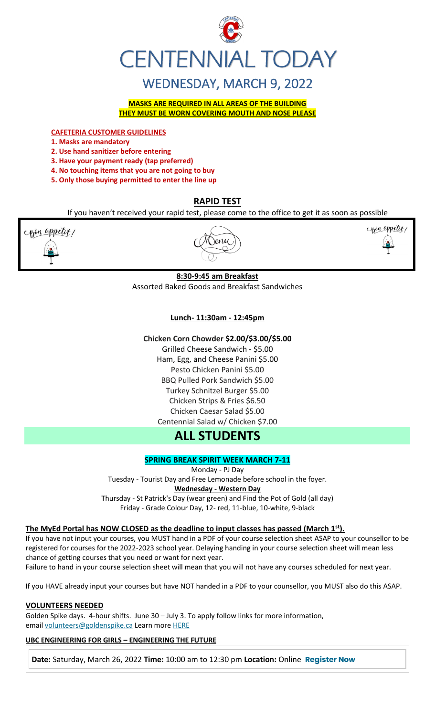

# WEDNESDAY, MARCH 9, 2022

**MASKS ARE REQUIRED IN ALL AREAS OF THE BUILDING THEY MUST BE WORN COVERING MOUTH AND NOSE PLEASE**

**CAFETERIA CUSTOMER GUIDELINES**

**1. Masks are mandatory**

**2. Use hand sanitizer before entering** 

**3. Have your payment ready (tap preferred)** 

**4. No touching items that you are not going to buy** 

**5. Only those buying permitted to enter the line up**

# **RAPID TEST**

If you haven't received your rapid test, please come to the office to get it as soon as possible



# **8:30-9:45 am Breakfast**

Assorted Baked Goods and Breakfast Sandwiches

# **Lunch- 11:30am - 12:45pm**

**Chicken Corn Chowder \$2.00/\$3.00/\$5.00**

Grilled Cheese Sandwich - \$5.00 Ham, Egg, and Cheese Panini \$5.00 Pesto Chicken Panini \$5.00 BBQ Pulled Pork Sandwich \$5.00 Turkey Schnitzel Burger \$5.00 Chicken Strips & Fries \$6.50 Chicken Caesar Salad \$5.00 Centennial Salad w/ Chicken \$7.00

# **ALL STUDENTS**

# **SPRING BREAK SPIRIT WEEK MARCH 7-11**

Monday - PJ Day

Tuesday - Tourist Day and Free Lemonade before school in the foyer.

# **Wednesday - Western Day**

Thursday - St Patrick's Day (wear green) and Find the Pot of Gold (all day) Friday - Grade Colour Day, 12- red, 11-blue, 10-white, 9-black

# **The MyEd Portal has NOW CLOSED as the deadline to input classes has passed (March 1st).**

If you have not input your courses, you MUST hand in a PDF of your course selection sheet ASAP to your counsellor to be registered for courses for the 2022-2023 school year. Delaying handing in your course selection sheet will mean less chance of getting courses that you need or want for next year.

Failure to hand in your course selection sheet will mean that you will not have any courses scheduled for next year.

If you HAVE already input your courses but have NOT handed in a PDF to your counsellor, you MUST also do this ASAP.

# **VOLUNTEERS NEEDED**

Golden Spike days. 4-hour shifts. June 30 – July 3. To apply follow links for more information, email [volunteers@goldenspike.ca](mailto:volunteers@goldenspike.ca) Learn more [HERE](https://c-wm904.na1.hubspotlinksfree.com/Btc/W2+113/c-WM904/DWYfY3svlvW3Tbr0z7KVxn8W4KxtYX4FW50JN7dHCvk3lSc3V1-WJV7CgMxbV3smF85QT2hwW6lg1KY32M9PdW8NkZrN3cg7-QW76CRwD8r4jH4W7yTh8Y1XQGMzW7B5FQg7M6KW5W87mWdX3ktK-DW23Gt8Y4CscWkW1mT9Fy5H89ZqW66gSc76qLs_3W3XXTn22MFw35N2zGF_JjZ_QJW85NX_j2kB6QzW7nS80g3_fsx_W6jswXn4S5Wj4W4H8K9n4lzxsWW5tkCB526gmzbW5zvnGd1VjFzDW5pWbf47fdpVNN2gTyRbmvWF9N8xzMDZ7znvrW6Hg6PD4sTt8cW7mdYm-1qJZdfW1z0CgP7DZkhF37Qj1)

**UBC ENGINEERING FOR GIRLS – ENGINEERING THE FUTURE**

**Date:** Saturday, March 26, 2022 **Time:** 10:00 am to 12:30 pm **Location:** Online **[Register Now](https://usend.ubc.ca/sendy/l/rIVID892cGlXFhKkqDAP4pPw/2KZZzB8auY0CbfN3AeQQPQ/2NVMXaF6kwoqb0Zu2zyabA)**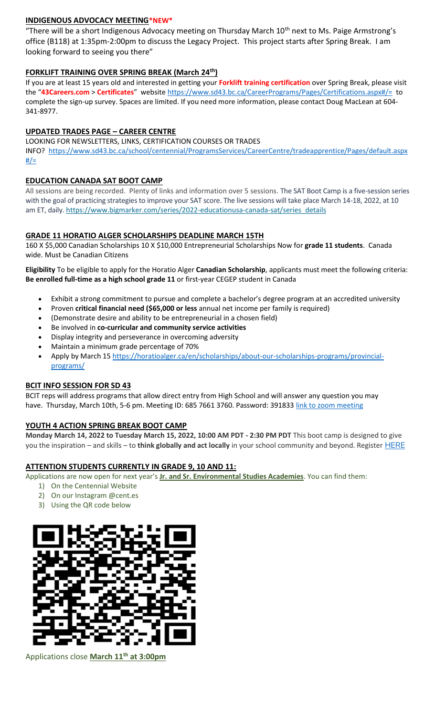# **INDIGENOUS ADVOCACY MEETING\*NEW\***

"There will be a short Indigenous Advocacy meeting on Thursday March 10<sup>th</sup> next to Ms. Paige Armstrong's office (B118) at 1:35pm-2:00pm to discuss the Legacy Project. This project starts after Spring Break. I am looking forward to seeing you there"

# **FORKLIFT TRAINING OVER SPRING BREAK (March 24th)**

If you are at least 15 years old and interested in getting your **Forklift training certification** over Spring Break, please visit the "**43Careers.com** > **Certificates**" websit[e https://www.sd43.bc.ca/CareerPrograms/Pages/Certifications.aspx#/=](https://www.sd43.bc.ca/CareerPrograms/Pages/Certifications.aspx#/=) to complete the sign-up survey. Spaces are limited. If you need more information, please contact Doug MacLean at 604- 341-8977.

# **UPDATED TRADES PAGE – CAREER CENTRE**

LOOKING FOR NEWSLETTERS, LINKS, CERTIFICATION COURSES OR TRADES

INFO? [https://www.sd43.bc.ca/school/centennial/ProgramsServices/CareerCentre/tradeapprentice/Pages/default.aspx](https://www.sd43.bc.ca/school/centennial/ProgramsServices/CareerCentre/tradeapprentice/Pages/default.aspx#/=)  $\frac{\#}{\#}$ 

# **EDUCATION CANADA SAT BOOT CAMP**

All sessions are being recorded. Plenty of links and information over 5 sessions. The SAT Boot Camp is a five-session series with the goal of practicing strategies to improve your SAT score. The live sessions will take place March 14-18, 2022, at 10 am ET, daily. [https://www.bigmarker.com/series/2022-educationusa-canada-sat/series\\_details](https://www.bigmarker.com/series/2022-educationusa-canada-sat/series_details)

# **GRADE 11 HORATIO ALGER SCHOLARSHIPS DEADLINE MARCH 15TH**

160 X \$5,000 Canadian Scholarships 10 X \$10,000 Entrepreneurial Scholarships Now for **grade 11 students**. Canada wide. Must be Canadian Citizens

**Eligibility** To be eligible to apply for the Horatio Alger **Canadian Scholarship**, applicants must meet the following criteria: **Be enrolled full-time as a high school grade 11** or first-year CEGEP student in Canada

- Exhibit a strong commitment to pursue and complete a bachelor's degree program at an accredited university
- Proven **critical financial need (\$65,000 or less** annual net income per family is required)
- (Demonstrate desire and ability to be entrepreneurial in a chosen field)
- Be involved in **co-curricular and community service activities**
- Display integrity and perseverance in overcoming adversity
- Maintain a minimum grade percentage of 70%
- Apply by March 15 [https://horatioalger.ca/en/scholarships/about-our-scholarships-programs/provincial](https://horatioalger.ca/en/scholarships/about-our-scholarships-programs/provincial-programs/)[programs/](https://horatioalger.ca/en/scholarships/about-our-scholarships-programs/provincial-programs/)

# **BCIT INFO SESSION FOR SD 43**

BCIT reps will address programs that allow direct entry from High School and will answer any question you may have. Thursday, March 10th, 5-6 pm. Meeting ID: 685 7661 3760. Password: 391833 [link to zoom meeting](https://bcit.zoom.us/j/68576613760?pwd=UkwrYjVZQVVrWUdXdFVXdEpGQXBOQT09#success)

# **YOUTH 4 ACTION SPRING BREAK BOOT CAMP**

**Monday March 14, 2022 to Tuesday March 15, 2022, 10:00 AM PDT - 2:30 PM PDT** This boot camp is designed to give you the inspiration – and skills – to **think globally and act locally** in your school community and beyond. Register [HERE](https://registration.metrovancouver.org/youth4action/Pages/Think-Global-Plan-Lead-Local-Mar14-15.aspx)

# **ATTENTION STUDENTS CURRENTLY IN GRADE 9, 10 AND 11:**

Applications are now open for next year's **Jr. and Sr. Environmental Studies Academies**. You can find them:

- 1) On the Centennial Website
- 2) On our Instagram @cent.es
- 3) Using the QR code below



Applications close **March 11th at 3:00pm**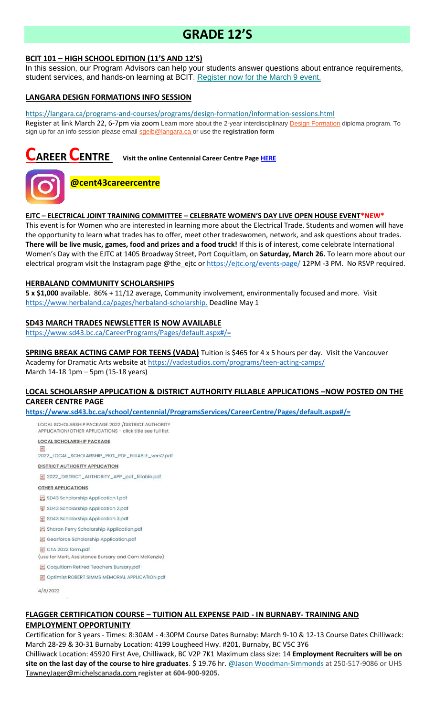# **GRADE 12'S**

### **BCIT 101 – HIGH SCHOOL EDITION (11'S AND 12'S)**

In this session, our Program Advisors can help your students answer questions about entrance requirements, student services, and hands-on learning at BCIT. [Register now for the March 9 event.](https://bcit.us8.list-manage.com/track/click?u=daf05330755626307efc8f07f&id=7cc7391ed9&e=b29846f095)

### **LANGARA DESIGN FORMATIONS INFO SESSION**

<https://langara.ca/programs-and-courses/programs/design-formation/information-sessions.html> Register at link March 22, 6-7pm via zoom Learn more about the 2-year interdisciplinary [Design Formation](https://langara.ca/programs-and-courses/programs/design-formation/index.html) diploma program. To sign up for an info session please email [sgeib@langara.ca](mailto:sgeib@langara.ca) or use the **registration form**

# **CAREER CENTRE Visit the online Centennial Career Centre Page [HERE](https://www.sd43.bc.ca/school/centennial/ProgramsServices/CareerCentre/experiences/Pages/default.aspx#/=)**



# **@cent43careercentre**

#### **EJTC – ELECTRICAL JOINT TRAINING COMMITTEE – CELEBRATE WOMEN'S DAY LIVE OPEN HOUSE EVENT\*NEW\***

This event is for Women who are interested in learning more about the Electrical Trade. Students and women will have the opportunity to learn what trades has to offer, meet other tradeswomen, network, and ask questions about trades. **There will be live music, games, food and prizes and a food truck!** If this is of interest, come celebrate International Women's Day with the EJTC at 1405 Broadway Street, Port Coquitlam, on **Saturday, March 26.** To learn more about our electrical program visit the Instagram page @the\_ejtc or<https://ejtc.org/events-page/> 12PM -3 PM. No RSVP required.

### **HERBALAND COMMUNITY SCHOLARSHIPS**

**5 x \$1,000** available. 86% + 11/12 average, Community involvement, environmentally focused and more. Visit [https://www.herbaland.ca/pages/herbaland-scholarship.](https://www.herbaland.ca/pages/herbaland-scholarship) Deadline May 1

#### **SD43 MARCH TRADES NEWSLETTER IS NOW AVAILABLE**

<https://www.sd43.bc.ca/CareerPrograms/Pages/default.aspx#/=>

**SPRING BREAK ACTING CAMP FOR TEENS (VADA)** Tuition is \$465 for 4 x 5 hours per day. Visit the Vancouver Academy for Dramatic Arts website at<https://vadastudios.com/programs/teen-acting-camps/> March 14-18 1pm – 5pm (15-18 years)

# **LOCAL SCHOLARSHP APPLICATION & DISTRICT AUTHORITY FILLABLE APPLICATIONS –NOW POSTED ON THE CAREER CENTRE PAGE**

**<https://www.sd43.bc.ca/school/centennial/ProgramsServices/CareerCentre/Pages/default.aspx#/=>**

LOCAL SCHOLARSHIP PACKAGE 2022 / DISTRICT AUTHORITY APPLICATION/OTHER APPLICATIONS - click title see full list

**LOCAL SCHOLARSHIP PACKAGE** 

2022\_LOCAL\_SCHOLARSHIP\_PKG\_PDF\_FILLABLE\_vers2.pdf

**DISTRICT AUTHORITY APPLICATION** 

图 2022\_DISTRICT\_AUTHORITY\_APP\_pdf\_fillable.pdf

#### **OTHER APPLICATIONS**

SD43 Scholarship Application 1.pdf

- SD43 Scholarship Application 2.pdf
- SD43 Scholarship Application 3.pdf
- Sharon Perry Scholarship Application.pdf

Gearforce Scholarship Application.pdf

圆 CTA 2022 form.pdf

(use for Merit, Assistance Bursary and Cam McKenzie)

Coquitlam Retired Teachers Bursary.pdf

**图 Optimist ROBERT SIMMS MEMORIAL APPLICATION.pdf** 

4/8/2022

### **FLAGGER CERTIFICATION COURSE – TUITION ALL EXPENSE PAID - IN BURNABY- TRAINING AND EMPLOYMENT OPPORTUNITY**

Certification for 3 years - Times: 8:30AM - 4:30PM Course Dates Burnaby: March 9-10 & 12-13 Course Dates Chilliwack: March 28-29 & 30-31 Burnaby Location: 4199 Lougheed Hwy. #201, Burnaby, BC V5C 3Y6

Chilliwack Location: 45920 First Ave, Chilliwack, BC V2P 7K1 Maximum class size: 14 **Employment Recruiters will be on site on the last day of the course to hire graduates**. \$ 19.76 hr. [@Jason Woodman-Simmonds](mailto:JasonWoodman-Simmonds@michelscanada.com) at 250-517-9086 or UHS [TawneyJager@michelscanada.com](mailto:TawneyJager@michelscanada.com) **register at 604-900-9205.**